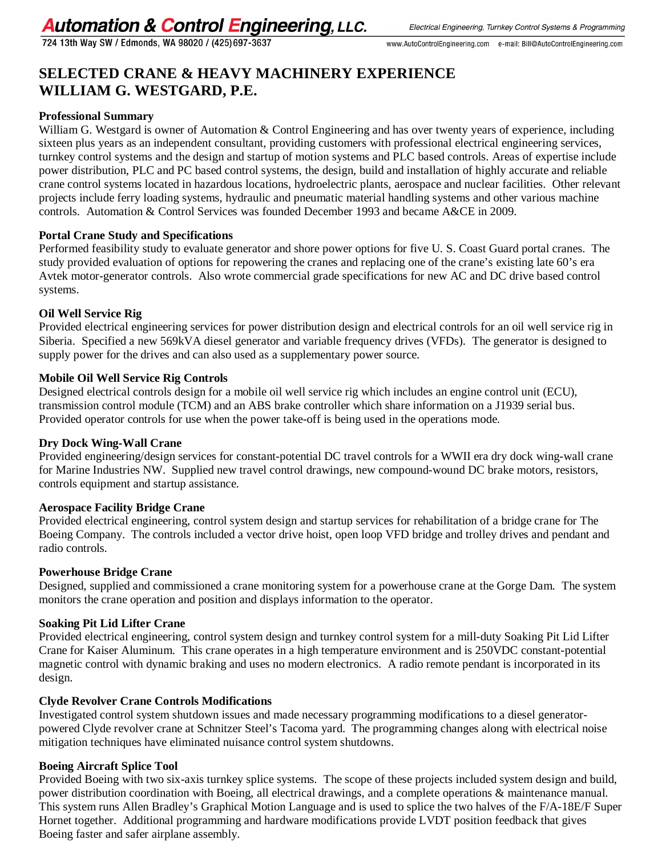724 13th Way SW / Edmonds, WA 98020 / (425) 697-3637

# **SELECTED CRANE & HEAVY MACHINERY EXPERIENCE WILLIAM G. WESTGARD, P.E.**

# **Professional Summary**

William G. Westgard is owner of Automation & Control Engineering and has over twenty years of experience, including sixteen plus years as an independent consultant, providing customers with professional electrical engineering services, turnkey control systems and the design and startup of motion systems and PLC based controls. Areas of expertise include power distribution, PLC and PC based control systems, the design, build and installation of highly accurate and reliable crane control systems located in hazardous locations, hydroelectric plants, aerospace and nuclear facilities. Other relevant projects include ferry loading systems, hydraulic and pneumatic material handling systems and other various machine controls. Automation & Control Services was founded December 1993 and became A&CE in 2009.

# **Portal Crane Study and Specifications**

Performed feasibility study to evaluate generator and shore power options for five U. S. Coast Guard portal cranes. The study provided evaluation of options for repowering the cranes and replacing one of the crane's existing late 60's era Avtek motor-generator controls. Also wrote commercial grade specifications for new AC and DC drive based control systems.

# **Oil Well Service Rig**

Provided electrical engineering services for power distribution design and electrical controls for an oil well service rig in Siberia. Specified a new 569kVA diesel generator and variable frequency drives (VFDs). The generator is designed to supply power for the drives and can also used as a supplementary power source.

# **Mobile Oil Well Service Rig Controls**

Designed electrical controls design for a mobile oil well service rig which includes an engine control unit (ECU), transmission control module (TCM) and an ABS brake controller which share information on a J1939 serial bus. Provided operator controls for use when the power take-off is being used in the operations mode.

# **Dry Dock Wing-Wall Crane**

Provided engineering/design services for constant-potential DC travel controls for a WWII era dry dock wing-wall crane for Marine Industries NW. Supplied new travel control drawings, new compound-wound DC brake motors, resistors, controls equipment and startup assistance.

# **Aerospace Facility Bridge Crane**

Provided electrical engineering, control system design and startup services for rehabilitation of a bridge crane for The Boeing Company. The controls included a vector drive hoist, open loop VFD bridge and trolley drives and pendant and radio controls.

### **Powerhouse Bridge Crane**

Designed, supplied and commissioned a crane monitoring system for a powerhouse crane at the Gorge Dam. The system monitors the crane operation and position and displays information to the operator.

# **Soaking Pit Lid Lifter Crane**

Provided electrical engineering, control system design and turnkey control system for a mill-duty Soaking Pit Lid Lifter Crane for Kaiser Aluminum. This crane operates in a high temperature environment and is 250VDC constant-potential magnetic control with dynamic braking and uses no modern electronics. A radio remote pendant is incorporated in its design.

# **Clyde Revolver Crane Controls Modifications**

Investigated control system shutdown issues and made necessary programming modifications to a diesel generatorpowered Clyde revolver crane at Schnitzer Steel's Tacoma yard. The programming changes along with electrical noise mitigation techniques have eliminated nuisance control system shutdowns.

# **Boeing Aircraft Splice Tool**

Provided Boeing with two six-axis turnkey splice systems. The scope of these projects included system design and build, power distribution coordination with Boeing, all electrical drawings, and a complete operations & maintenance manual. This system runs Allen Bradley's Graphical Motion Language and is used to splice the two halves of the F/A-18E/F Super Hornet together. Additional programming and hardware modifications provide LVDT position feedback that gives Boeing faster and safer airplane assembly.